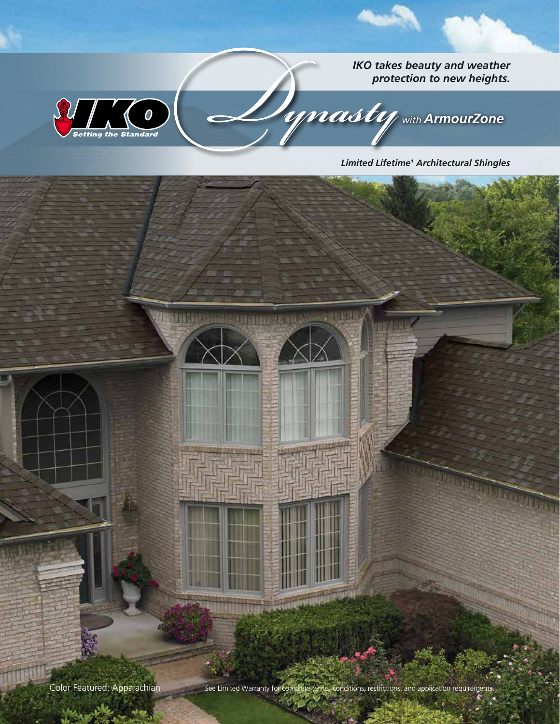*IKO takes beauty and weather protection to new heights.*



**UNISHER** 

*with ArmourZone* 

HE.

*Limited Lifetime1 Architectural Shingles*



**Mag** 

Mary 19/12

<sup>1</sup>See Limited Warranty for complete terms, conditions, restrictions, and application requirements.

**HARRIS CRASHER AND A**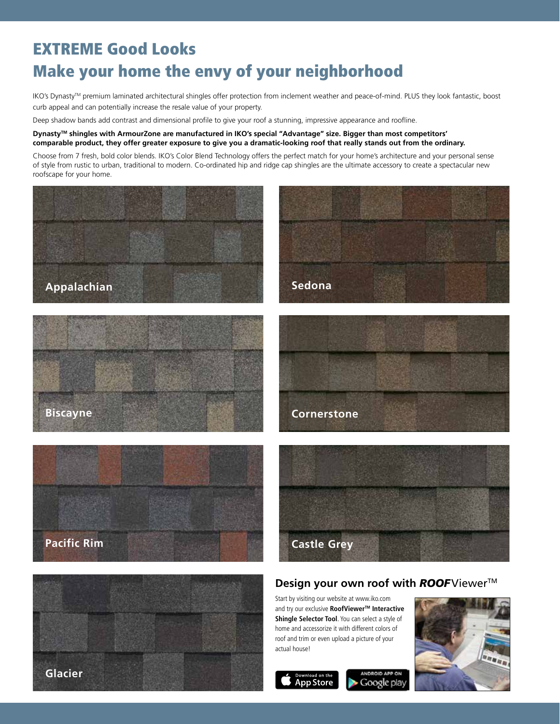# EXTREME Good Looks Make your home the envy of your neighborhood

IKO's Dynasty™ premium laminated architectural shingles offer protection from inclement weather and peace-of-mind. PLUS they look fantastic, boost curb appeal and can potentially increase the resale value of your property.

Deep shadow bands add contrast and dimensional profile to give your roof a stunning, impressive appearance and roofline.

#### **DynastyTM shingles with ArmourZone are manufactured in IKO's special "Advantage" size. Bigger than most competitors' comparable product, they offer greater exposure to give you a dramatic-looking roof that really stands out from the ordinary.**

Choose from 7 fresh, bold color blends. IKO's Color Blend Technology offers the perfect match for your home's architecture and your personal sense of style from rustic to urban, traditional to modern. Co-ordinated hip and ridge cap shingles are the ultimate accessory to create a spectacular new roofscape for your home.

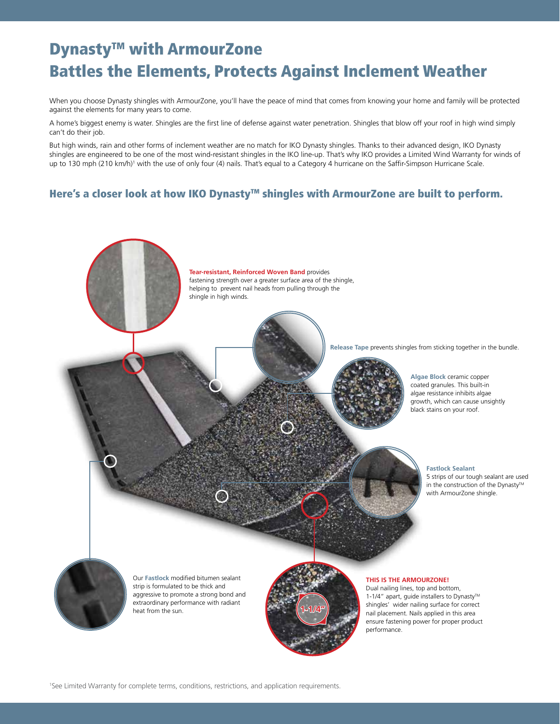# Dynasty<sup>™</sup> with ArmourZone Battles the Elements, Protects Against Inclement Weather

When you choose Dynasty shingles with ArmourZone, you'll have the peace of mind that comes from knowing your home and family will be protected against the elements for many years to come.

A home's biggest enemy is water. Shingles are the first line of defense against water penetration. Shingles that blow off your roof in high wind simply can't do their job.

But high winds, rain and other forms of inclement weather are no match for IKO Dynasty shingles. Thanks to their advanced design, IKO Dynasty shingles are engineered to be one of the most wind-resistant shingles in the IKO line-up. That's why IKO provides a Limited Wind Warranty for winds of up to 130 mph (210 km/h)<sup>1</sup> with the use of only four (4) nails. That's equal to a Category 4 hurricane on the Saffir-Simpson Hurricane Scale.

## Here's a closer look at how IKO Dynasty™ shingles with ArmourZone are built to perform.